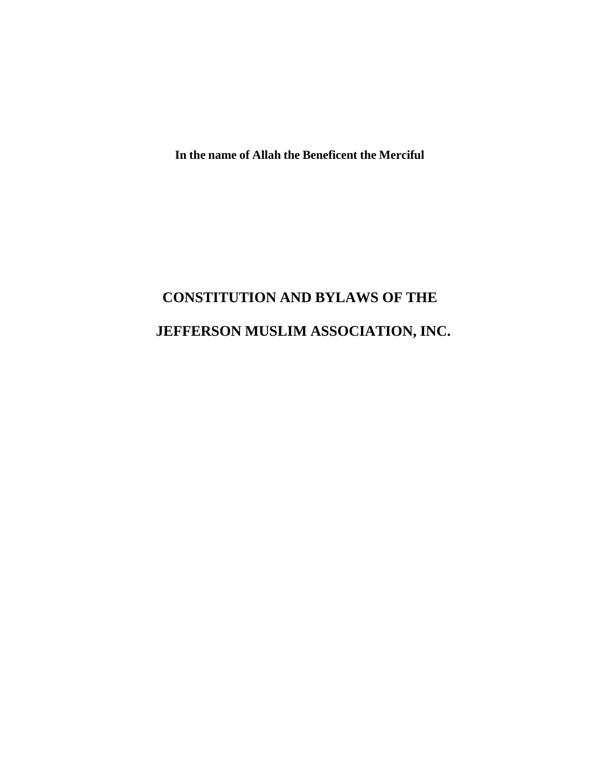**In the name of Allah the Beneficent the Merciful**

# **CONSTITUTION AND BYLAWS OF THE JEFFERSON MUSLIM ASSOCIATION, INC.**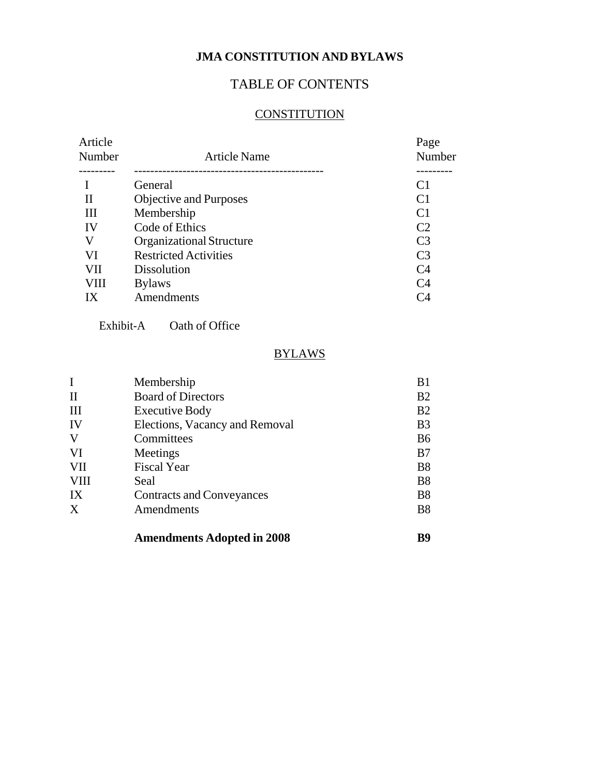# **JMA CONSTITUTION AND BYLAWS**

# TABLE OF CONTENTS

# **CONSTITUTION**

| Article<br>Number | <b>Article Name</b>             | Page<br>Number |
|-------------------|---------------------------------|----------------|
|                   |                                 |                |
|                   | General                         | C <sub>1</sub> |
| П                 | Objective and Purposes          | C <sub>1</sub> |
| III               | Membership                      | C <sub>1</sub> |
| IV                | Code of Ethics                  | C <sub>2</sub> |
| V                 | <b>Organizational Structure</b> | C <sub>3</sub> |
| VI                | <b>Restricted Activities</b>    | C <sub>3</sub> |
| VII               | <b>Dissolution</b>              | C4             |
| VIII              | <b>Bylaws</b>                   | C <sub>4</sub> |
| IX                | Amendments                      | C4             |
|                   |                                 |                |

Exhibit-A Oath of Office

# **BYLAWS**

| I                | Membership                        | B <sub>1</sub> |
|------------------|-----------------------------------|----------------|
| П                | <b>Board of Directors</b>         | B <sub>2</sub> |
| Ш                | <b>Executive Body</b>             | B <sub>2</sub> |
| IV               | Elections, Vacancy and Removal    | B <sub>3</sub> |
| V                | Committees                        | <b>B6</b>      |
| VI               | Meetings                          | B7             |
| VII              | <b>Fiscal Year</b>                | B <sub>8</sub> |
| VIII             | Seal                              | B <sub>8</sub> |
| IX               | <b>Contracts and Conveyances</b>  | B <sub>8</sub> |
| $\boldsymbol{X}$ | Amendments                        | B <sub>8</sub> |
|                  | <b>Amendments Adopted in 2008</b> | R9             |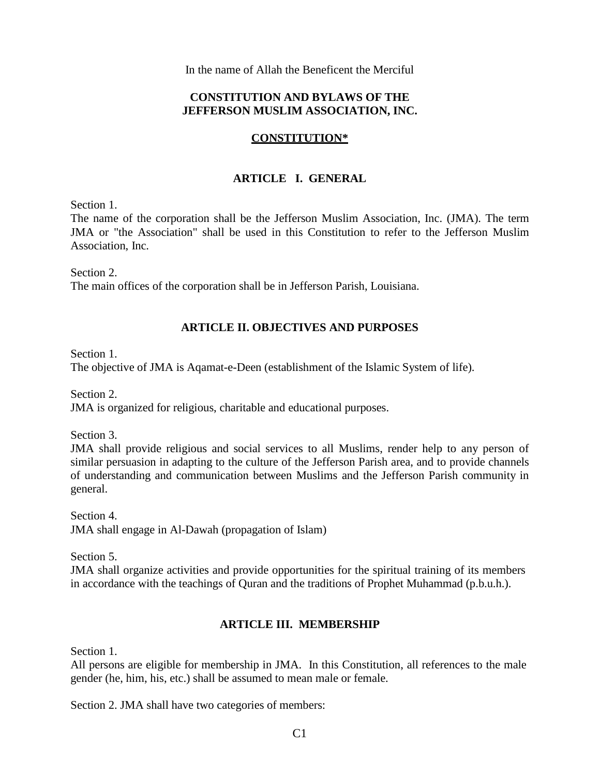In the name of Allah the Beneficent the Merciful

# **CONSTITUTION AND BYLAWS OF THE JEFFERSON MUSLIM ASSOCIATION, INC.**

# **CONSTITUTION\***

# **ARTICLE I. GENERAL**

Section 1.

The name of the corporation shall be the Jefferson Muslim Association, Inc. (JMA). The term JMA or "the Association" shall be used in this Constitution to refer to the Jefferson Muslim Association, Inc.

Section 2.

The main offices of the corporation shall be in Jefferson Parish, Louisiana.

# **ARTICLE II. OBJECTIVES AND PURPOSES**

Section 1.

The objective of JMA is Aqamat-e-Deen (establishment of the Islamic System of life).

Section 2.

JMA is organized for religious, charitable and educational purposes.

Section 3.

JMA shall provide religious and social services to all Muslims, render help to any person of similar persuasion in adapting to the culture of the Jefferson Parish area, and to provide channels of understanding and communication between Muslims and the Jefferson Parish community in general.

Section 4. JMA shall engage in Al-Dawah (propagation of Islam)

Section 5.

JMA shall organize activities and provide opportunities for the spiritual training of its members in accordance with the teachings of Quran and the traditions of Prophet Muhammad (p.b.u.h.).

### **ARTICLE III. MEMBERSHIP**

Section 1.

All persons are eligible for membership in JMA. In this Constitution, all references to the male gender (he, him, his, etc.) shall be assumed to mean male or female.

Section 2. JMA shall have two categories of members: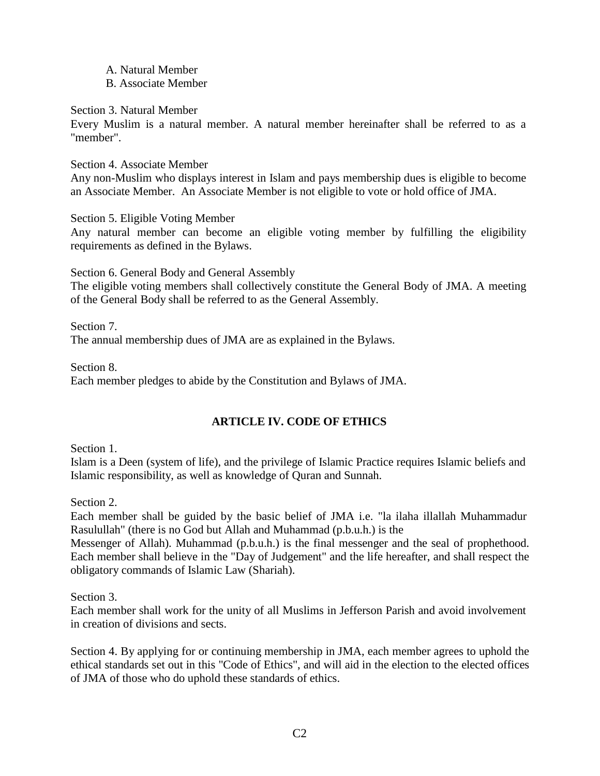- A. Natural Member
- B. Associate Member

Section 3. Natural Member

Every Muslim is a natural member. A natural member hereinafter shall be referred to as a "member".

Section 4. Associate Member

Any non-Muslim who displays interest in Islam and pays membership dues is eligible to become an Associate Member. An Associate Member is not eligible to vote or hold office of JMA.

Section 5. Eligible Voting Member

Any natural member can become an eligible voting member by fulfilling the eligibility requirements as defined in the Bylaws.

Section 6. General Body and General Assembly

The eligible voting members shall collectively constitute the General Body of JMA. A meeting of the General Body shall be referred to as the General Assembly.

Section 7. The annual membership dues of JMA are as explained in the Bylaws.

Section 8. Each member pledges to abide by the Constitution and Bylaws of JMA.

# **ARTICLE IV. CODE OF ETHICS**

Section 1.

Islam is a Deen (system of life), and the privilege of Islamic Practice requires Islamic beliefs and Islamic responsibility, as well as knowledge of Quran and Sunnah.

Section 2.

Each member shall be guided by the basic belief of JMA i.e. "la ilaha illallah Muhammadur Rasulullah" (there is no God but Allah and Muhammad (p.b.u.h.) is the

Messenger of Allah). Muhammad (p.b.u.h.) is the final messenger and the seal of prophethood. Each member shall believe in the "Day of Judgement" and the life hereafter, and shall respect the obligatory commands of Islamic Law (Shariah).

Section 3.

Each member shall work for the unity of all Muslims in Jefferson Parish and avoid involvement in creation of divisions and sects.

Section 4. By applying for or continuing membership in JMA, each member agrees to uphold the ethical standards set out in this "Code of Ethics", and will aid in the election to the elected offices of JMA of those who do uphold these standards of ethics.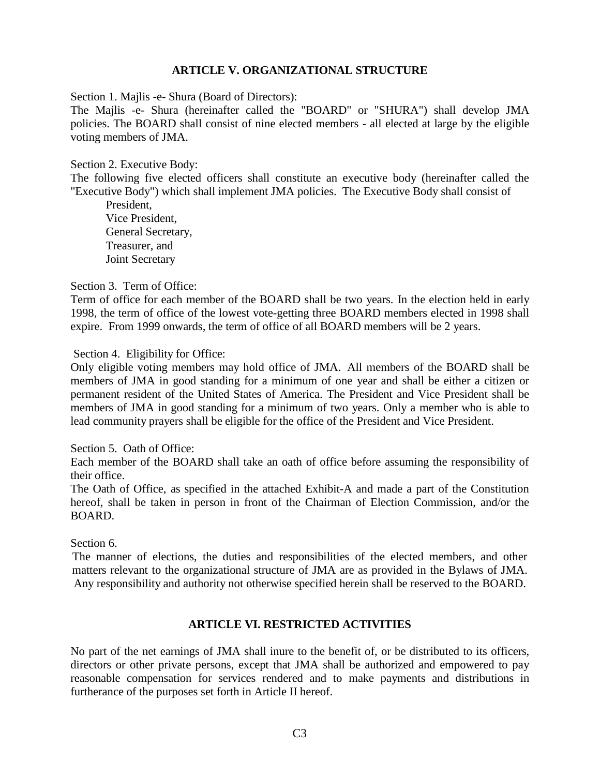### **ARTICLE V. ORGANIZATIONAL STRUCTURE**

Section 1. Majlis -e- Shura (Board of Directors):

The Majlis -e- Shura (hereinafter called the "BOARD" or "SHURA") shall develop JMA policies. The BOARD shall consist of nine elected members - all elected at large by the eligible voting members of JMA.

Section 2. Executive Body:

The following five elected officers shall constitute an executive body (hereinafter called the "Executive Body") which shall implement JMA policies. The Executive Body shall consist of

President, Vice President, General Secretary, Treasurer, and Joint Secretary

Section 3. Term of Office:

Term of office for each member of the BOARD shall be two years. In the election held in early 1998, the term of office of the lowest vote-getting three BOARD members elected in 1998 shall expire. From 1999 onwards, the term of office of all BOARD members will be 2 years.

Section 4. Eligibility for Office:

Only eligible voting members may hold office of JMA. All members of the BOARD shall be members of JMA in good standing for a minimum of one year and shall be either a citizen or permanent resident of the United States of America. The President and Vice President shall be members of JMA in good standing for a minimum of two years. Only a member who is able to lead community prayers shall be eligible for the office of the President and Vice President.

Section 5. Oath of Office:

Each member of the BOARD shall take an oath of office before assuming the responsibility of their office.

The Oath of Office, as specified in the attached Exhibit-A and made a part of the Constitution hereof, shall be taken in person in front of the Chairman of Election Commission, and/or the BOARD.

Section 6.

The manner of elections, the duties and responsibilities of the elected members, and other matters relevant to the organizational structure of JMA are as provided in the Bylaws of JMA. Any responsibility and authority not otherwise specified herein shall be reserved to the BOARD.

#### **ARTICLE VI. RESTRICTED ACTIVITIES**

No part of the net earnings of JMA shall inure to the benefit of, or be distributed to its officers, directors or other private persons, except that JMA shall be authorized and empowered to pay reasonable compensation for services rendered and to make payments and distributions in furtherance of the purposes set forth in Article II hereof.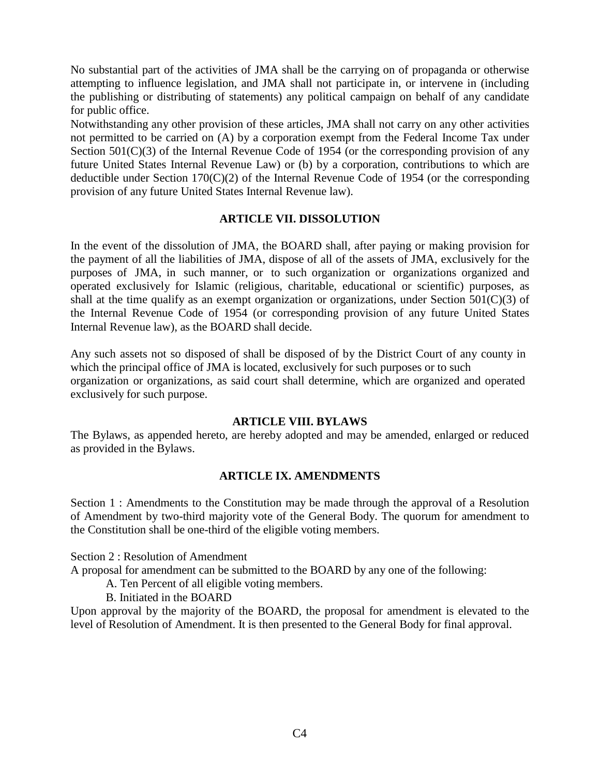No substantial part of the activities of JMA shall be the carrying on of propaganda or otherwise attempting to influence legislation, and JMA shall not participate in, or intervene in (including the publishing or distributing of statements) any political campaign on behalf of any candidate for public office.

Notwithstanding any other provision of these articles, JMA shall not carry on any other activities not permitted to be carried on (A) by a corporation exempt from the Federal Income Tax under Section 501(C)(3) of the Internal Revenue Code of 1954 (or the corresponding provision of any future United States Internal Revenue Law) or (b) by a corporation, contributions to which are deductible under Section 170(C)(2) of the Internal Revenue Code of 1954 (or the corresponding provision of any future United States Internal Revenue law).

# **ARTICLE VII. DISSOLUTION**

In the event of the dissolution of JMA, the BOARD shall, after paying or making provision for the payment of all the liabilities of JMA, dispose of all of the assets of JMA, exclusively for the purposes of JMA, in such manner, or to such organization or organizations organized and operated exclusively for Islamic (religious, charitable, educational or scientific) purposes, as shall at the time qualify as an exempt organization or organizations, under Section 501(C)(3) of the Internal Revenue Code of 1954 (or corresponding provision of any future United States Internal Revenue law), as the BOARD shall decide.

Any such assets not so disposed of shall be disposed of by the District Court of any county in which the principal office of JMA is located, exclusively for such purposes or to such organization or organizations, as said court shall determine, which are organized and operated exclusively for such purpose.

## **ARTICLE VIII. BYLAWS**

The Bylaws, as appended hereto, are hereby adopted and may be amended, enlarged or reduced as provided in the Bylaws.

### **ARTICLE IX. AMENDMENTS**

Section 1 : Amendments to the Constitution may be made through the approval of a Resolution of Amendment by two-third majority vote of the General Body. The quorum for amendment to the Constitution shall be one-third of the eligible voting members.

Section 2 : Resolution of Amendment

A proposal for amendment can be submitted to the BOARD by any one of the following:

A. Ten Percent of all eligible voting members.

B. Initiated in the BOARD

Upon approval by the majority of the BOARD, the proposal for amendment is elevated to the level of Resolution of Amendment. It is then presented to the General Body for final approval.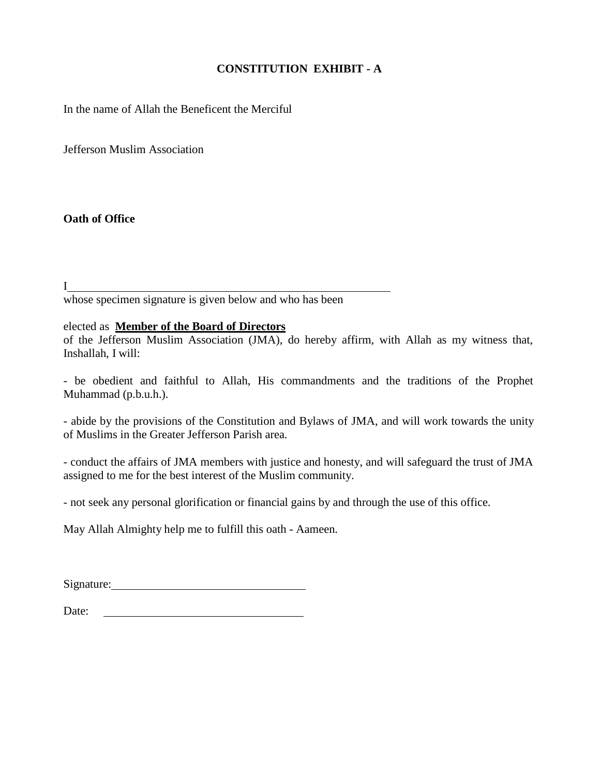# **CONSTITUTION EXHIBIT - A**

In the name of Allah the Beneficent the Merciful

Jefferson Muslim Association

**Oath of Office**

I whose specimen signature is given below and who has been

elected as **Member of the Board of Directors**

of the Jefferson Muslim Association (JMA), do hereby affirm, with Allah as my witness that, Inshallah, I will:

- be obedient and faithful to Allah, His commandments and the traditions of the Prophet Muhammad (p.b.u.h.).

- abide by the provisions of the Constitution and Bylaws of JMA, and will work towards the unity of Muslims in the Greater Jefferson Parish area.

- conduct the affairs of JMA members with justice and honesty, and will safeguard the trust of JMA assigned to me for the best interest of the Muslim community.

- not seek any personal glorification or financial gains by and through the use of this office.

May Allah Almighty help me to fulfill this oath - Aameen.

Date: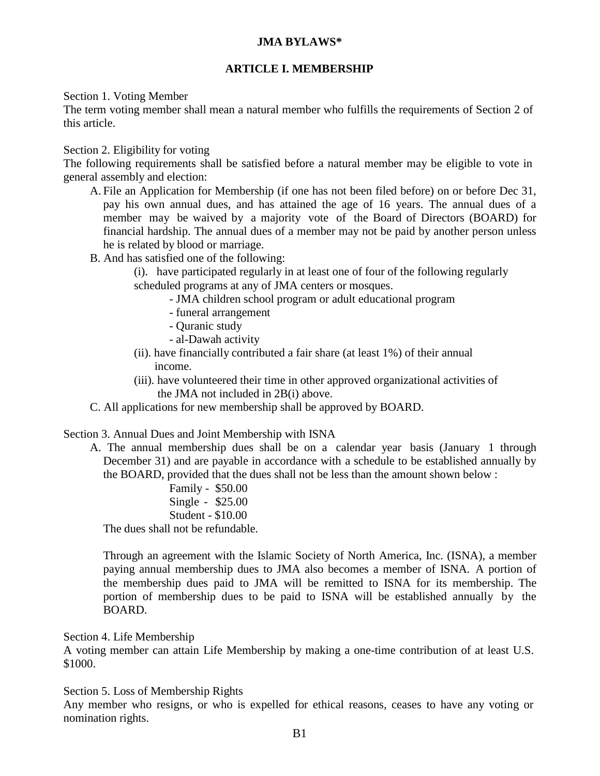# **JMA BYLAWS\***

# **ARTICLE I. MEMBERSHIP**

Section 1. Voting Member

The term voting member shall mean a natural member who fulfills the requirements of Section 2 of this article.

Section 2. Eligibility for voting

The following requirements shall be satisfied before a natural member may be eligible to vote in general assembly and election:

- A. File an Application for Membership (if one has not been filed before) on or before Dec 31, pay his own annual dues, and has attained the age of 16 years. The annual dues of a member may be waived by a majority vote of the Board of Directors (BOARD) for financial hardship. The annual dues of a member may not be paid by another person unless he is related by blood or marriage.
- B. And has satisfied one of the following:

(i). have participated regularly in at least one of four of the following regularly scheduled programs at any of JMA centers or mosques.

- JMA children school program or adult educational program
- funeral arrangement
- Quranic study
- al-Dawah activity
- (ii). have financially contributed a fair share (at least 1%) of their annual income.
- (iii). have volunteered their time in other approved organizational activities of the JMA not included in 2B(i) above.
- C. All applications for new membership shall be approved by BOARD.

Section 3. Annual Dues and Joint Membership with ISNA

- A. The annual membership dues shall be on a calendar year basis (January 1 through December 31) and are payable in accordance with a schedule to be established annually by the BOARD, provided that the dues shall not be less than the amount shown below :
	- Family \$50.00 Single - \$25.00 Student - \$10.00

The dues shall not be refundable.

Through an agreement with the Islamic Society of North America, Inc. (ISNA), a member paying annual membership dues to JMA also becomes a member of ISNA. A portion of the membership dues paid to JMA will be remitted to ISNA for its membership. The portion of membership dues to be paid to ISNA will be established annually by the BOARD.

Section 4. Life Membership

A voting member can attain Life Membership by making a one-time contribution of at least U.S. \$1000.

Section 5. Loss of Membership Rights

Any member who resigns, or who is expelled for ethical reasons, ceases to have any voting or nomination rights.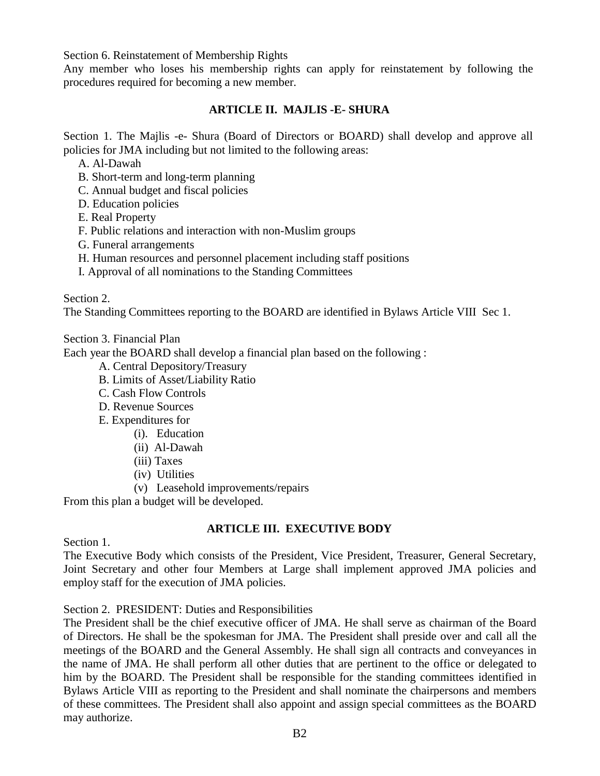Section 6. Reinstatement of Membership Rights

Any member who loses his membership rights can apply for reinstatement by following the procedures required for becoming a new member.

# **ARTICLE II. MAJLIS -E- SHURA**

Section 1. The Majlis -e- Shura (Board of Directors or BOARD) shall develop and approve all policies for JMA including but not limited to the following areas:

A. Al-Dawah

B. Short-term and long-term planning

C. Annual budget and fiscal policies

D. Education policies

E. Real Property

F. Public relations and interaction with non-Muslim groups

G. Funeral arrangements

H. Human resources and personnel placement including staff positions

I. Approval of all nominations to the Standing Committees

Section 2.

The Standing Committees reporting to the BOARD are identified in Bylaws Article VIII Sec 1.

Section 3. Financial Plan

Each year the BOARD shall develop a financial plan based on the following :

- A. Central Depository/Treasury
- B. Limits of Asset/Liability Ratio
- C. Cash Flow Controls
- D. Revenue Sources
- E. Expenditures for
	- (i). Education
	- (ii) Al-Dawah
	- (iii) Taxes
	- (iv) Utilities
	- (v) Leasehold improvements/repairs

From this plan a budget will be developed.

### **ARTICLE III. EXECUTIVE BODY**

Section 1.

The Executive Body which consists of the President, Vice President, Treasurer, General Secretary, Joint Secretary and other four Members at Large shall implement approved JMA policies and employ staff for the execution of JMA policies.

Section 2. PRESIDENT: Duties and Responsibilities

The President shall be the chief executive officer of JMA. He shall serve as chairman of the Board of Directors. He shall be the spokesman for JMA. The President shall preside over and call all the meetings of the BOARD and the General Assembly. He shall sign all contracts and conveyances in the name of JMA. He shall perform all other duties that are pertinent to the office or delegated to him by the BOARD. The President shall be responsible for the standing committees identified in Bylaws Article VIII as reporting to the President and shall nominate the chairpersons and members of these committees. The President shall also appoint and assign special committees as the BOARD may authorize.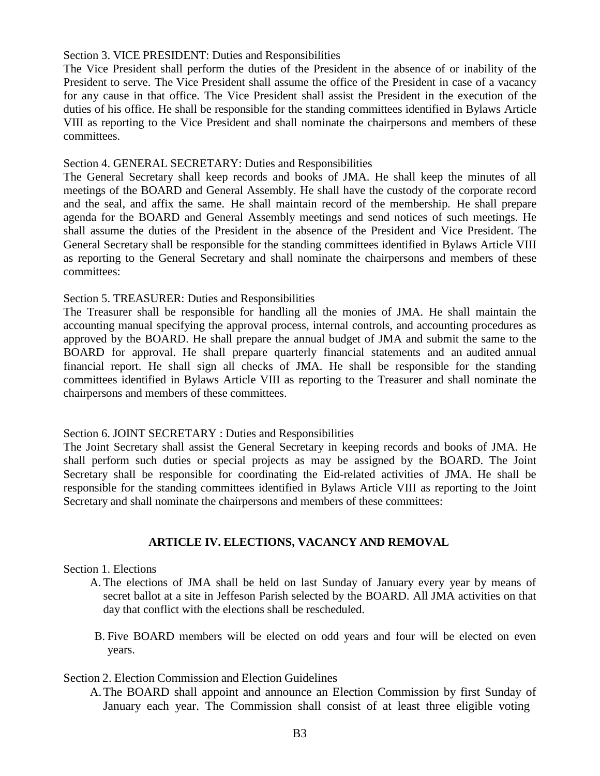#### Section 3. VICE PRESIDENT: Duties and Responsibilities

The Vice President shall perform the duties of the President in the absence of or inability of the President to serve. The Vice President shall assume the office of the President in case of a vacancy for any cause in that office. The Vice President shall assist the President in the execution of the duties of his office. He shall be responsible for the standing committees identified in Bylaws Article VIII as reporting to the Vice President and shall nominate the chairpersons and members of these committees.

#### Section 4. GENERAL SECRETARY: Duties and Responsibilities

The General Secretary shall keep records and books of JMA. He shall keep the minutes of all meetings of the BOARD and General Assembly. He shall have the custody of the corporate record and the seal, and affix the same. He shall maintain record of the membership. He shall prepare agenda for the BOARD and General Assembly meetings and send notices of such meetings. He shall assume the duties of the President in the absence of the President and Vice President. The General Secretary shall be responsible for the standing committees identified in Bylaws Article VIII as reporting to the General Secretary and shall nominate the chairpersons and members of these committees:

### Section 5. TREASURER: Duties and Responsibilities

The Treasurer shall be responsible for handling all the monies of JMA. He shall maintain the accounting manual specifying the approval process, internal controls, and accounting procedures as approved by the BOARD. He shall prepare the annual budget of JMA and submit the same to the BOARD for approval. He shall prepare quarterly financial statements and an audited annual financial report. He shall sign all checks of JMA. He shall be responsible for the standing committees identified in Bylaws Article VIII as reporting to the Treasurer and shall nominate the chairpersons and members of these committees.

### Section 6. JOINT SECRETARY : Duties and Responsibilities

The Joint Secretary shall assist the General Secretary in keeping records and books of JMA. He shall perform such duties or special projects as may be assigned by the BOARD. The Joint Secretary shall be responsible for coordinating the Eid-related activities of JMA. He shall be responsible for the standing committees identified in Bylaws Article VIII as reporting to the Joint Secretary and shall nominate the chairpersons and members of these committees:

# **ARTICLE IV. ELECTIONS, VACANCY AND REMOVAL**

### Section 1. Elections

- A. The elections of JMA shall be held on last Sunday of January every year by means of secret ballot at a site in Jeffeson Parish selected by the BOARD. All JMA activities on that day that conflict with the elections shall be rescheduled.
- B. Five BOARD members will be elected on odd years and four will be elected on even years.

Section 2. Election Commission and Election Guidelines

A.The BOARD shall appoint and announce an Election Commission by first Sunday of January each year. The Commission shall consist of at least three eligible voting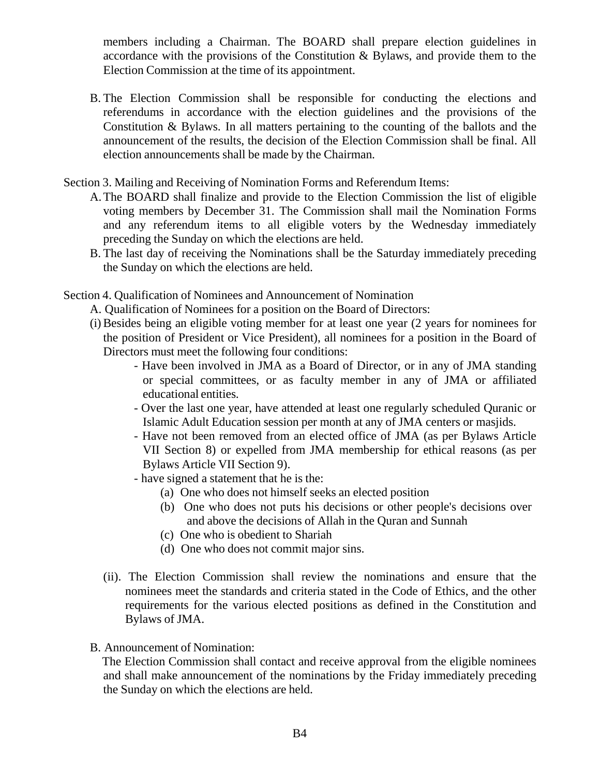members including a Chairman. The BOARD shall prepare election guidelines in accordance with the provisions of the Constitution & Bylaws, and provide them to the Election Commission at the time of its appointment.

B. The Election Commission shall be responsible for conducting the elections and referendums in accordance with the election guidelines and the provisions of the Constitution & Bylaws. In all matters pertaining to the counting of the ballots and the announcement of the results, the decision of the Election Commission shall be final. All election announcements shall be made by the Chairman.

Section 3. Mailing and Receiving of Nomination Forms and Referendum Items:

- A.The BOARD shall finalize and provide to the Election Commission the list of eligible voting members by December 31. The Commission shall mail the Nomination Forms and any referendum items to all eligible voters by the Wednesday immediately preceding the Sunday on which the elections are held.
- B. The last day of receiving the Nominations shall be the Saturday immediately preceding the Sunday on which the elections are held.

Section 4. Qualification of Nominees and Announcement of Nomination

- A. Qualification of Nominees for a position on the Board of Directors:
- (i)Besides being an eligible voting member for at least one year (2 years for nominees for the position of President or Vice President), all nominees for a position in the Board of Directors must meet the following four conditions:
	- Have been involved in JMA as a Board of Director, or in any of JMA standing or special committees, or as faculty member in any of JMA or affiliated educational entities.
	- Over the last one year, have attended at least one regularly scheduled Quranic or Islamic Adult Education session per month at any of JMA centers or masjids.
	- Have not been removed from an elected office of JMA (as per Bylaws Article VII Section 8) or expelled from JMA membership for ethical reasons (as per Bylaws Article VII Section 9).
	- have signed a statement that he is the:
		- (a) One who does not himself seeks an elected position
		- (b) One who does not puts his decisions or other people's decisions over and above the decisions of Allah in the Quran and Sunnah
		- (c) One who is obedient to Shariah
		- (d) One who does not commit major sins.
	- (ii). The Election Commission shall review the nominations and ensure that the nominees meet the standards and criteria stated in the Code of Ethics, and the other requirements for the various elected positions as defined in the Constitution and Bylaws of JMA.
- B. Announcement of Nomination:

The Election Commission shall contact and receive approval from the eligible nominees and shall make announcement of the nominations by the Friday immediately preceding the Sunday on which the elections are held.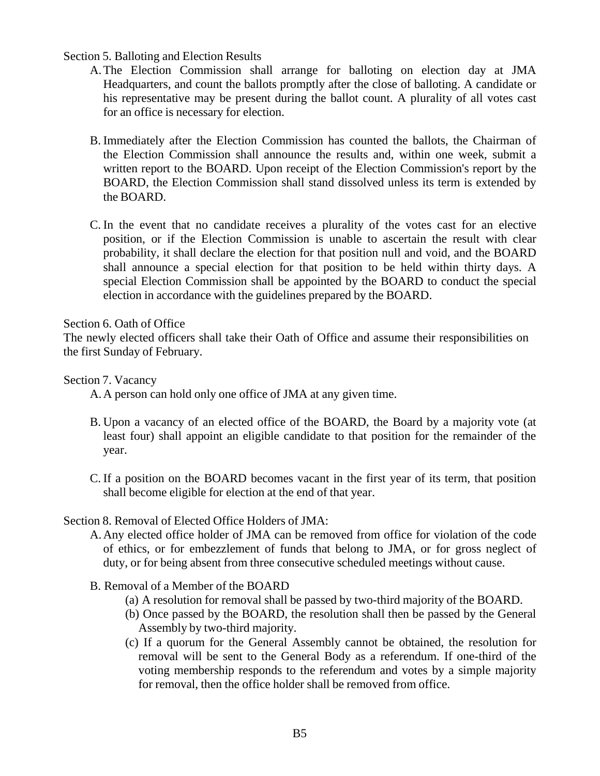# Section 5. Balloting and Election Results

- A.The Election Commission shall arrange for balloting on election day at JMA Headquarters, and count the ballots promptly after the close of balloting. A candidate or his representative may be present during the ballot count. A plurality of all votes cast for an office is necessary for election.
- B. Immediately after the Election Commission has counted the ballots, the Chairman of the Election Commission shall announce the results and, within one week, submit a written report to the BOARD. Upon receipt of the Election Commission's report by the BOARD, the Election Commission shall stand dissolved unless its term is extended by the BOARD.
- C. In the event that no candidate receives a plurality of the votes cast for an elective position, or if the Election Commission is unable to ascertain the result with clear probability, it shall declare the election for that position null and void, and the BOARD shall announce a special election for that position to be held within thirty days. A special Election Commission shall be appointed by the BOARD to conduct the special election in accordance with the guidelines prepared by the BOARD.

# Section 6. Oath of Office

The newly elected officers shall take their Oath of Office and assume their responsibilities on the first Sunday of February.

Section 7. Vacancy

A.A person can hold only one office of JMA at any given time.

- B. Upon a vacancy of an elected office of the BOARD, the Board by a majority vote (at least four) shall appoint an eligible candidate to that position for the remainder of the year.
- C. If a position on the BOARD becomes vacant in the first year of its term, that position shall become eligible for election at the end of that year.

# Section 8. Removal of Elected Office Holders of JMA:

- A.Any elected office holder of JMA can be removed from office for violation of the code of ethics, or for embezzlement of funds that belong to JMA, or for gross neglect of duty, or for being absent from three consecutive scheduled meetings without cause.
- B. Removal of a Member of the BOARD
	- (a) A resolution for removal shall be passed by two-third majority of the BOARD.
	- (b) Once passed by the BOARD, the resolution shall then be passed by the General Assembly by two-third majority.
	- (c) If a quorum for the General Assembly cannot be obtained, the resolution for removal will be sent to the General Body as a referendum. If one-third of the voting membership responds to the referendum and votes by a simple majority for removal, then the office holder shall be removed from office.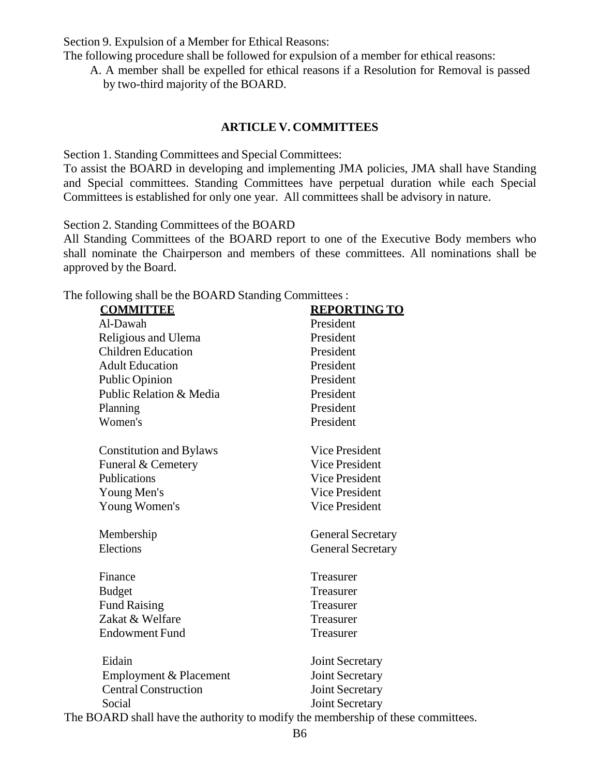Section 9. Expulsion of a Member for Ethical Reasons:

The following procedure shall be followed for expulsion of a member for ethical reasons:

A. A member shall be expelled for ethical reasons if a Resolution for Removal is passed by two-third majority of the BOARD.

# **ARTICLE V. COMMITTEES**

Section 1. Standing Committees and Special Committees:

To assist the BOARD in developing and implementing JMA policies, JMA shall have Standing and Special committees. Standing Committees have perpetual duration while each Special Committees is established for only one year. All committees shall be advisory in nature.

Section 2. Standing Committees of the BOARD

All Standing Committees of the BOARD report to one of the Executive Body members who shall nominate the Chairperson and members of these committees. All nominations shall be approved by the Board.

The following shall be the BOARD Standing Committees :

| <b>COMMITTEE</b>               | <b>REPORTING TO</b>                                                                     |
|--------------------------------|-----------------------------------------------------------------------------------------|
| Al-Dawah                       | President                                                                               |
| Religious and Ulema            | President                                                                               |
| <b>Children Education</b>      | President                                                                               |
| <b>Adult Education</b>         | President                                                                               |
| <b>Public Opinion</b>          | President                                                                               |
| Public Relation & Media        | President                                                                               |
| Planning                       | President                                                                               |
| Women's                        | President                                                                               |
| <b>Constitution and Bylaws</b> | Vice President                                                                          |
| Funeral & Cemetery             | <b>Vice President</b>                                                                   |
| Publications                   | Vice President                                                                          |
| Young Men's                    | <b>Vice President</b>                                                                   |
| Young Women's                  | <b>Vice President</b>                                                                   |
| Membership                     | <b>General Secretary</b>                                                                |
| Elections                      | <b>General Secretary</b>                                                                |
| Finance                        | Treasurer                                                                               |
| <b>Budget</b>                  | Treasurer                                                                               |
| <b>Fund Raising</b>            | Treasurer                                                                               |
| Zakat & Welfare                | Treasurer                                                                               |
| <b>Endowment Fund</b>          | Treasurer                                                                               |
| Eidain                         | Joint Secretary                                                                         |
| Employment & Placement         | Joint Secretary                                                                         |
| <b>Central Construction</b>    | Joint Secretary                                                                         |
| Social                         | Joint Secretary                                                                         |
|                                | $D\Omega \wedge D\Gamma$ shell have the outpoint to modify the membership of these some |

The BOARD shall have the authority to modify the membership of these committees.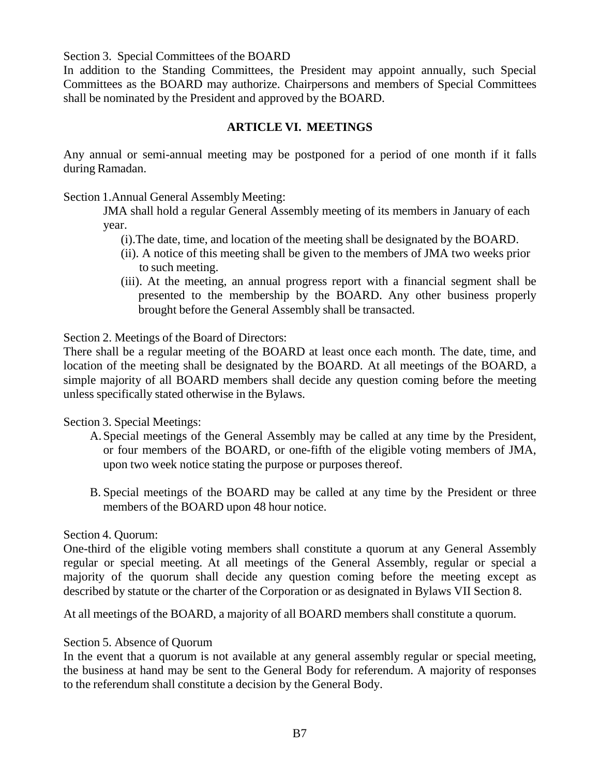Section 3. Special Committees of the BOARD

In addition to the Standing Committees, the President may appoint annually, such Special Committees as the BOARD may authorize. Chairpersons and members of Special Committees shall be nominated by the President and approved by the BOARD.

# **ARTICLE VI. MEETINGS**

Any annual or semi-annual meeting may be postponed for a period of one month if it falls during Ramadan.

Section 1.Annual General Assembly Meeting:

JMA shall hold a regular General Assembly meeting of its members in January of each year.

- (i).The date, time, and location of the meeting shall be designated by the BOARD.
- (ii). A notice of this meeting shall be given to the members of JMA two weeks prior to such meeting.
- (iii). At the meeting, an annual progress report with a financial segment shall be presented to the membership by the BOARD. Any other business properly brought before the General Assembly shall be transacted.

Section 2. Meetings of the Board of Directors:

There shall be a regular meeting of the BOARD at least once each month. The date, time, and location of the meeting shall be designated by the BOARD. At all meetings of the BOARD, a simple majority of all BOARD members shall decide any question coming before the meeting unless specifically stated otherwise in the Bylaws.

Section 3. Special Meetings:

- A.Special meetings of the General Assembly may be called at any time by the President, or four members of the BOARD, or one-fifth of the eligible voting members of JMA, upon two week notice stating the purpose or purposes thereof.
- B. Special meetings of the BOARD may be called at any time by the President or three members of the BOARD upon 48 hour notice.

# Section 4. Quorum:

One-third of the eligible voting members shall constitute a quorum at any General Assembly regular or special meeting. At all meetings of the General Assembly, regular or special a majority of the quorum shall decide any question coming before the meeting except as described by statute or the charter of the Corporation or as designated in Bylaws VII Section 8.

At all meetings of the BOARD, a majority of all BOARD members shall constitute a quorum.

# Section 5. Absence of Quorum

In the event that a quorum is not available at any general assembly regular or special meeting, the business at hand may be sent to the General Body for referendum. A majority of responses to the referendum shall constitute a decision by the General Body.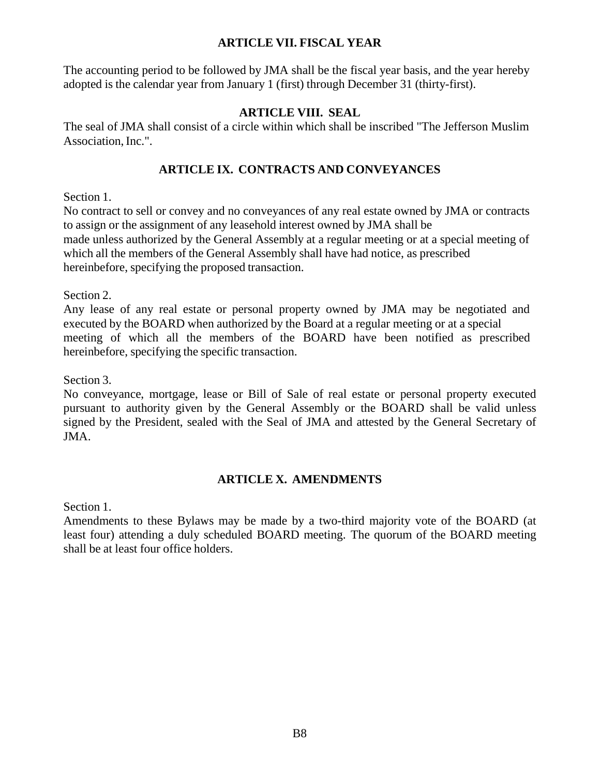# **ARTICLE VII. FISCAL YEAR**

The accounting period to be followed by JMA shall be the fiscal year basis, and the year hereby adopted is the calendar year from January 1 (first) through December 31 (thirty-first).

# **ARTICLE VIII. SEAL**

The seal of JMA shall consist of a circle within which shall be inscribed "The Jefferson Muslim Association, Inc.".

# **ARTICLE IX. CONTRACTS AND CONVEYANCES**

Section 1.

No contract to sell or convey and no conveyances of any real estate owned by JMA or contracts to assign or the assignment of any leasehold interest owned by JMA shall be made unless authorized by the General Assembly at a regular meeting or at a special meeting of which all the members of the General Assembly shall have had notice, as prescribed hereinbefore, specifying the proposed transaction.

Section 2.

Any lease of any real estate or personal property owned by JMA may be negotiated and executed by the BOARD when authorized by the Board at a regular meeting or at a special meeting of which all the members of the BOARD have been notified as prescribed hereinbefore, specifying the specific transaction.

Section 3.

No conveyance, mortgage, lease or Bill of Sale of real estate or personal property executed pursuant to authority given by the General Assembly or the BOARD shall be valid unless signed by the President, sealed with the Seal of JMA and attested by the General Secretary of JMA.

# **ARTICLE X. AMENDMENTS**

Section 1.

Amendments to these Bylaws may be made by a two-third majority vote of the BOARD (at least four) attending a duly scheduled BOARD meeting. The quorum of the BOARD meeting shall be at least four office holders.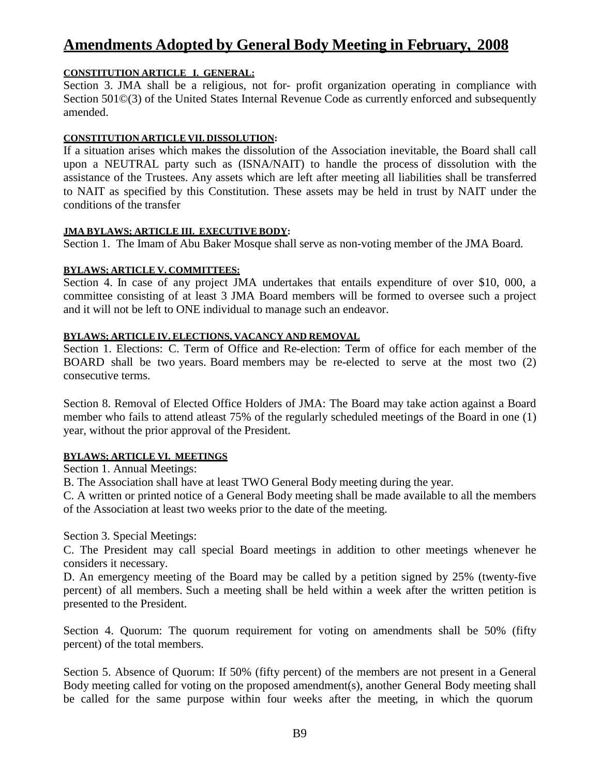# **Amendments Adopted by General Body Meeting in February, 2008**

#### **CONSTITUTION ARTICLE I. GENERAL:**

Section 3. JMA shall be a religious, not for- profit organization operating in compliance with Section 501©(3) of the United States Internal Revenue Code as currently enforced and subsequently amended.

#### **CONSTITUTION ARTICLE VII. DISSOLUTION:**

If a situation arises which makes the dissolution of the Association inevitable, the Board shall call upon a NEUTRAL party such as (ISNA/NAIT) to handle the process of dissolution with the assistance of the Trustees. Any assets which are left after meeting all liabilities shall be transferred to NAIT as specified by this Constitution. These assets may be held in trust by NAIT under the conditions of the transfer

#### **JMA BYLAWS; ARTICLE III. EXECUTIVE BODY:**

Section 1. The Imam of Abu Baker Mosque shall serve as non-voting member of the JMA Board.

#### **BYLAWS; ARTICLE V. COMMITTEES:**

Section 4. In case of any project JMA undertakes that entails expenditure of over \$10, 000, a committee consisting of at least 3 JMA Board members will be formed to oversee such a project and it will not be left to ONE individual to manage such an endeavor.

#### **BYLAWS; ARTICLE IV. ELECTIONS, VACANCY AND REMOVAL**

Section 1. Elections: C. Term of Office and Re-election: Term of office for each member of the BOARD shall be two years. Board members may be re-elected to serve at the most two (2) consecutive terms.

Section 8. Removal of Elected Office Holders of JMA: The Board may take action against a Board member who fails to attend atleast 75% of the regularly scheduled meetings of the Board in one (1) year, without the prior approval of the President.

### **BYLAWS; ARTICLE VI. MEETINGS**

Section 1. Annual Meetings:

B. The Association shall have at least TWO General Body meeting during the year.

C. A written or printed notice of a General Body meeting shall be made available to all the members of the Association at least two weeks prior to the date of the meeting.

Section 3. Special Meetings:

C. The President may call special Board meetings in addition to other meetings whenever he considers it necessary.

D. An emergency meeting of the Board may be called by a petition signed by 25% (twenty-five percent) of all members. Such a meeting shall be held within a week after the written petition is presented to the President.

Section 4. Quorum: The quorum requirement for voting on amendments shall be 50% (fifty percent) of the total members.

Section 5. Absence of Quorum: If 50% (fifty percent) of the members are not present in a General Body meeting called for voting on the proposed amendment(s), another General Body meeting shall be called for the same purpose within four weeks after the meeting, in which the quorum